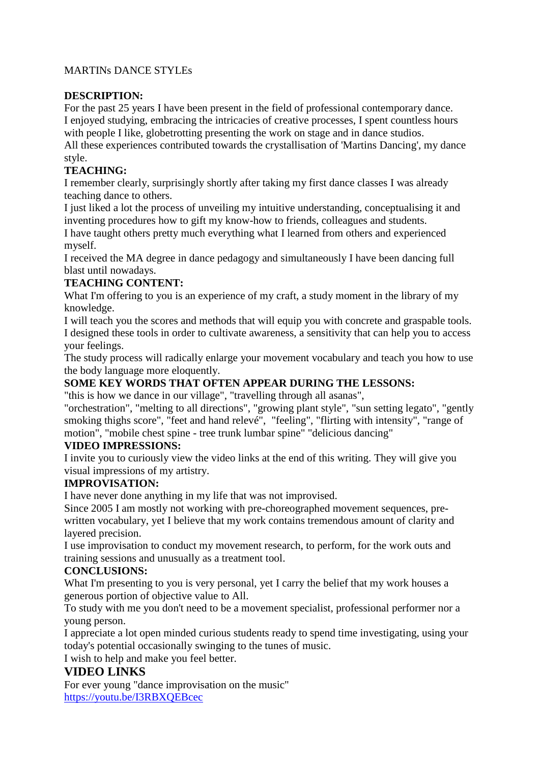# MARTINs DANCE STYLEs

# **DESCRIPTION:**

For the past 25 years I have been present in the field of professional contemporary dance. I enjoyed studying, embracing the intricacies of creative processes, I spent countless hours with people I like, globetrotting presenting the work on stage and in dance studios.

All these experiences contributed towards the crystallisation of 'Martins Dancing', my dance style.

# **TEACHING:**

I remember clearly, surprisingly shortly after taking my first dance classes I was already teaching dance to others.

I just liked a lot the process of unveiling my intuitive understanding, conceptualising it and inventing procedures how to gift my know-how to friends, colleagues and students.

I have taught others pretty much everything what I learned from others and experienced myself.

I received the MA degree in dance pedagogy and simultaneously I have been dancing full blast until nowadays.

### **TEACHING CONTENT:**

What I'm offering to you is an experience of my craft, a study moment in the library of my knowledge.

I will teach you the scores and methods that will equip you with concrete and graspable tools. I designed these tools in order to cultivate awareness, a sensitivity that can help you to access your feelings.

The study process will radically enlarge your movement vocabulary and teach you how to use the body language more eloquently.

# **SOME KEY WORDS THAT OFTEN APPEAR DURING THE LESSONS:**

"this is how we dance in our village", "travelling through all asanas",

"orchestration", "melting to all directions", "growing plant style", "sun setting legato", "gently smoking thighs score", "feet and hand relevé", "feeling", "flirting with intensity", "range of motion", "mobile chest spine - tree trunk lumbar spine" "delicious dancing"

### **VIDEO IMPRESSIONS:**

I invite you to curiously view the video links at the end of this writing. They will give you visual impressions of my artistry.

### **IMPROVISATION:**

I have never done anything in my life that was not improvised.

Since 2005 I am mostly not working with pre-choreographed movement sequences, prewritten vocabulary, yet I believe that my work contains tremendous amount of clarity and layered precision.

I use improvisation to conduct my movement research, to perform, for the work outs and training sessions and unusually as a treatment tool.

### **CONCLUSIONS:**

What I'm presenting to you is very personal, yet I carry the belief that my work houses a generous portion of objective value to All.

To study with me you don't need to be a movement specialist, professional performer nor a young person.

I appreciate a lot open minded curious students ready to spend time investigating, using your today's potential occasionally swinging to the tunes of music.

I wish to help and make you feel better.

# **VIDEO LINKS**

For ever young "dance improvisation on the music" <https://youtu.be/I3RBXQEBcec>